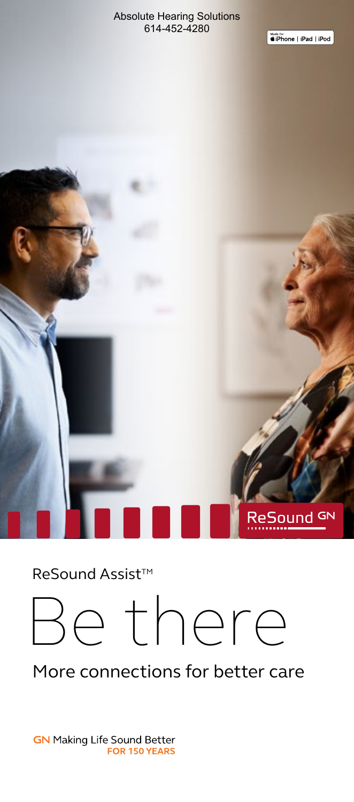

### ReSound Assist™



More connections for better care

**GN** Making Life Sound Better FOR 150 YEARS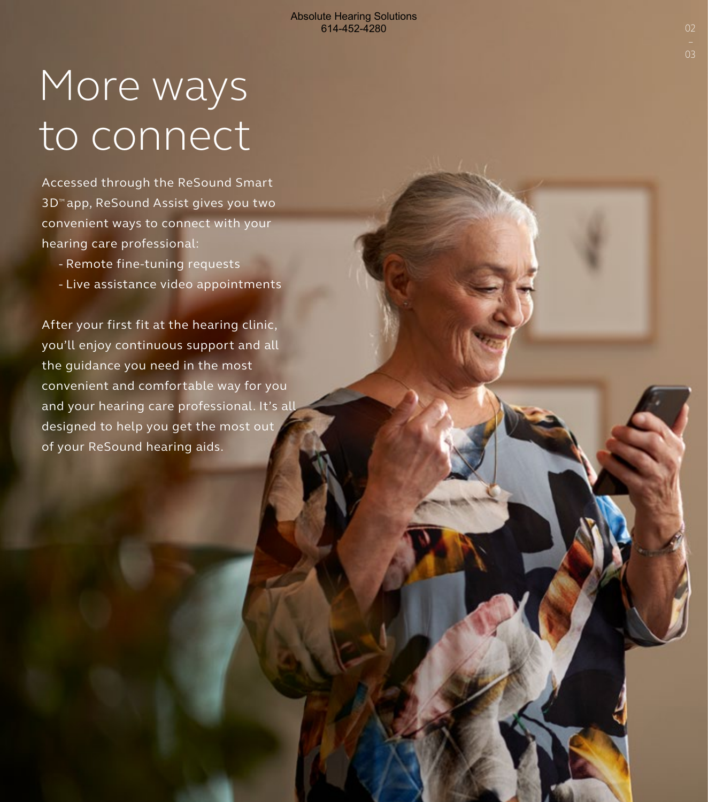## More ways to connect

Accessed through the ReSound Smart 3D™ app, ReSound Assist gives you two convenient ways to connect with your hearing care professional: - Remote fine-tuning requests

- 
- Live assistance video appointments

After your first fit at the hearing clinic, you'll enjoy continuous support and all the guidance you need in the most convenient and comfortable way for you and your hearing care professional. It's all designed to help you get the most out of your ReSound hearing aids.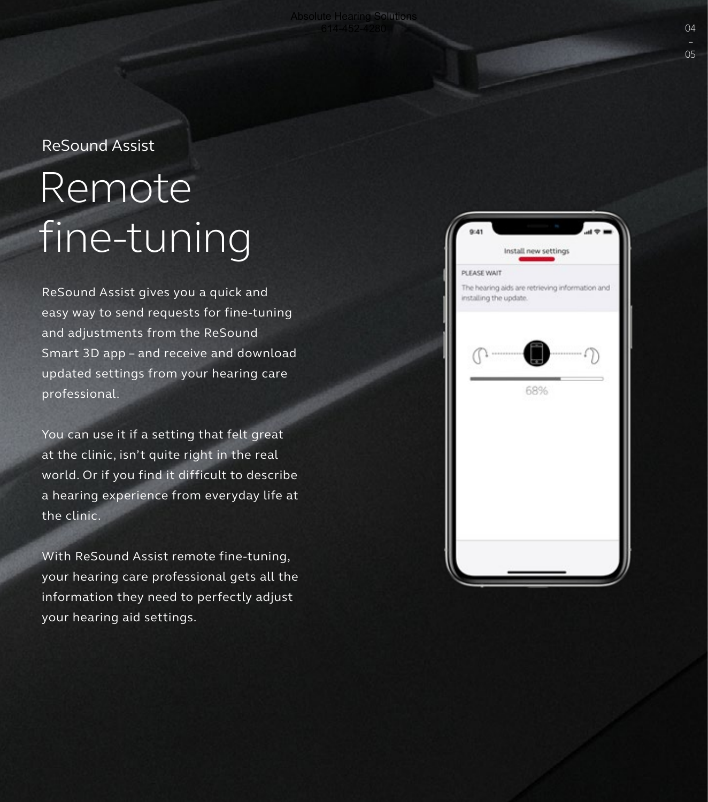**Absolute Hearing Solutions** 

ReSound Assist

## Remote fine-tuning

ReSound Assist gives you a quick and easy way to send requests for fine-tuning and adjustments from the ReSound Smart 3D app – and receive and download updated settings from your hearing care professional.

You can use it if a setting that felt great at the clinic, isn't quite right in the real world. Or if you find it difficult to describe a hearing experience from everyday life at the clinic.

With ReSound Assist remote fine-tuning, your hearing care professional gets all the information they need to perfectly adjust your hearing aid settings.

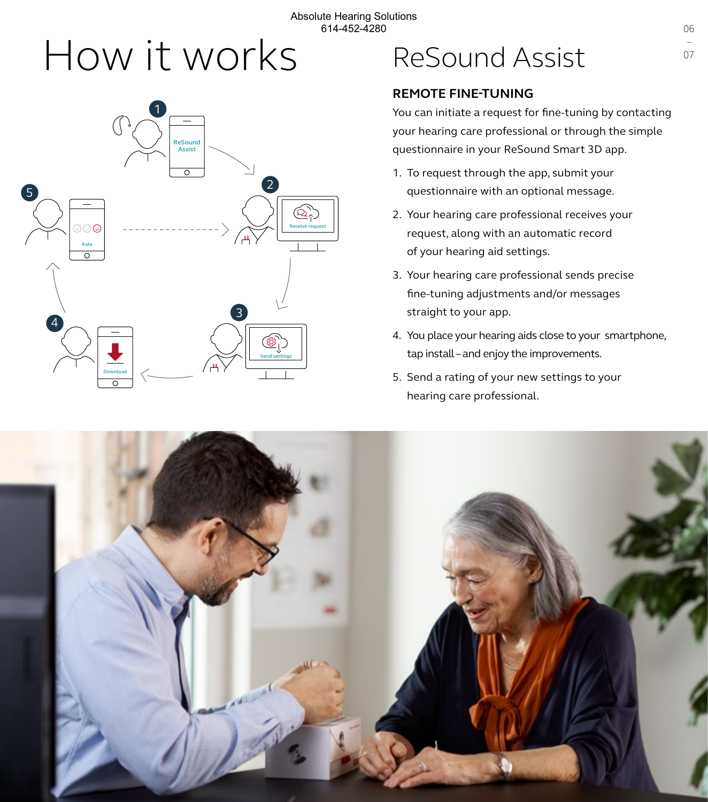# How it works ReSound Assist



### ReSound Assist

### **REMOTE FINE-TUNING**

You can initiate a request for fine-tuning by contacting your hearing care professional or through the simple questionnaire in your ReSound Smart 3D app.

- 1. To request through the app, submit your questionnaire with an optional message.
- 2. Your hearing care professional receives your request, along with an automatic record of your hearing aid settings.
- 3. Your hearing care professional sends precise fine-tuning adjustments and/or messages straight to your app.
- 4. You place your hearing aids close to your smartphone, tap install – and enjoy the improvements.
- 5. Send a rating of your new settings to your hearing care professional.

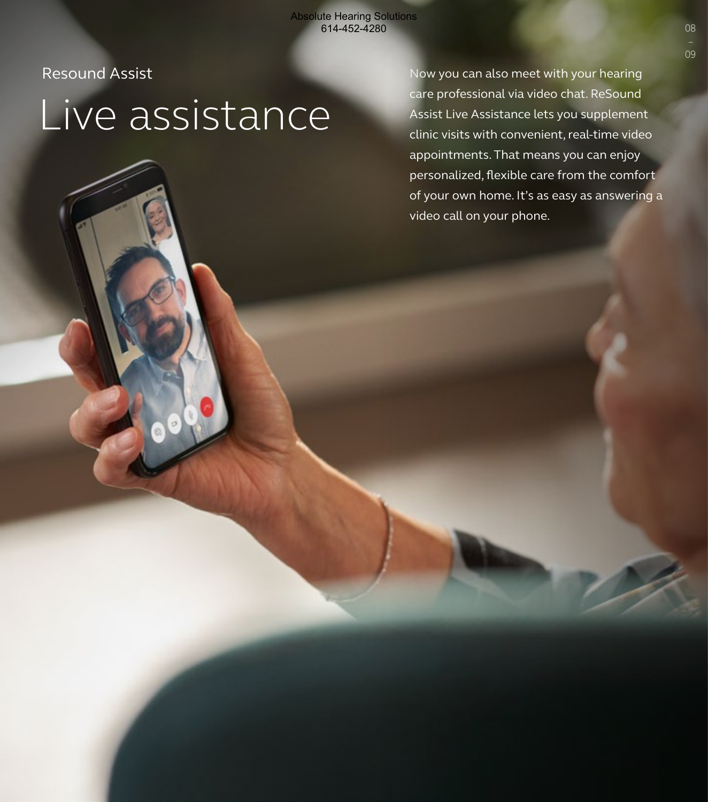Absolute Hearing Solutions 614-452-4280

Resound Assist

## Live assistance

Now you can also meet with your hearing care professional via video chat. ReSound Assist Live Assistance lets you supplement clinic visits with convenient, real-time video appointments. That means you can enjoy personalized, flexible care from the comfort of your own home. It's as easy as answering a video call on your phone.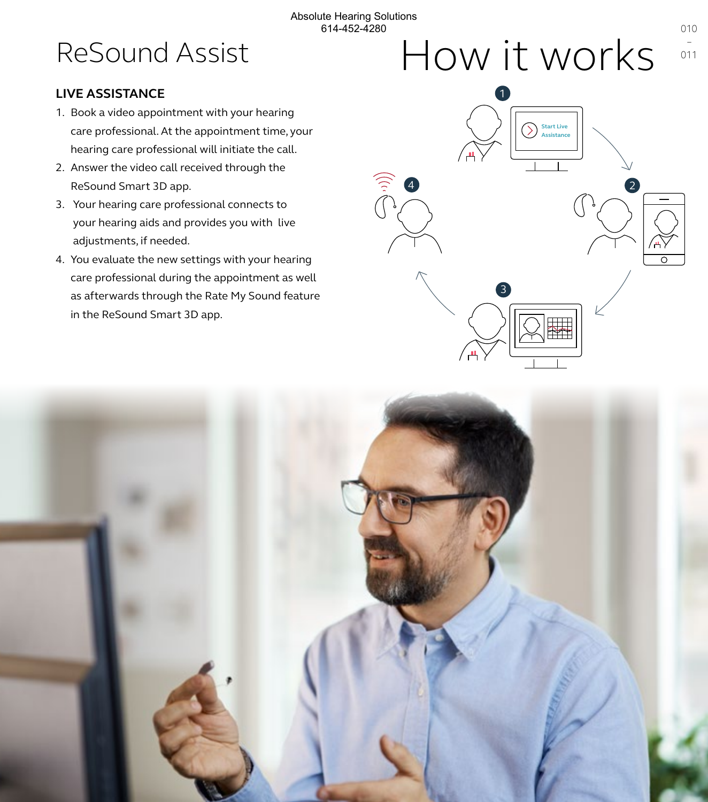### ReSound Assist

### **LIVE ASSISTANCE**

- 1. Book a video appointment with your hearing care professional. At the appointment time, your hearing care professional will initiate the call.
- 2. Answer the video call received through the ReSound Smart 3D app.
- 3. Your hearing care professional connects to your hearing aids and provides you with live adjustments, if needed.
- 4. You evaluate the new settings with your hearing care professional during the appointment as well as afterwards through the Rate My Sound feature in the ReSound Smart 3D app.